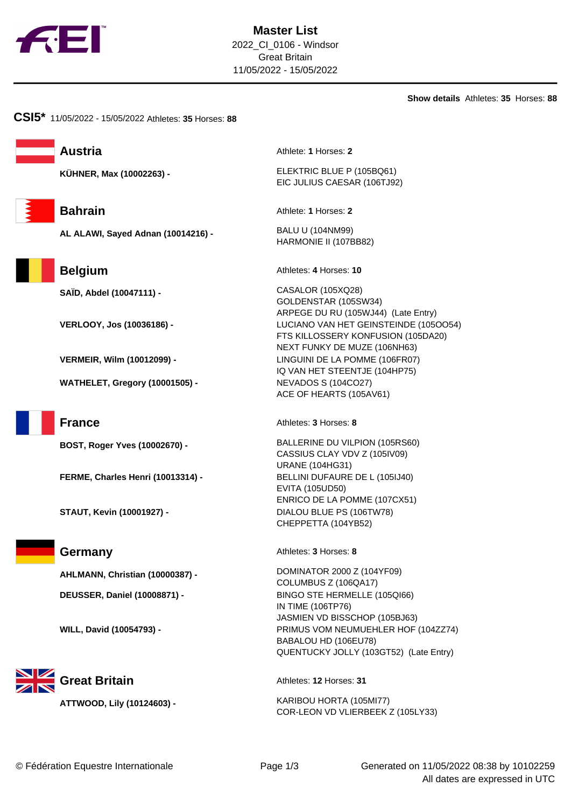

**Show details** Athletes: **35** Horses: **88**

**CSI5\*** 11/05/2022 - 15/05/2022 Athletes: **35** Horses: **88**

**AL ALAWI, Sayed Adnan (10014216) -** BALU U (104NM99)

**WATHELET, Gregory (10001505) -** NEVADOS S (104CO27)

**FERME, Charles Henri (10013314) -** BELLINI DUFAURE DE L (105IJ40)

**DEUSSER, Daniel (10008871) -** BINGO STE HERMELLE (105QI66)

**Great Britain Athletes: 12 Horses: 31** 

**Austria** Athlete: **1** Horses: **2** 

**KÜHNER, Max (10002263) -** ELEKTRIC BLUE P (105BQ61) EIC JULIUS CAESAR (106TJ92)

**Bahrain** Athlete: **1** Horses: **2** 

HARMONIE II (107BB82)

**Belgium** Athletes: 4 Horses: 10

**SAÏD, Abdel (10047111) -** CASALOR (105XQ28) GOLDENSTAR (105SW34) ARPEGE DU RU (105WJ44) (Late Entry) **VERLOOY, Jos (10036186) -** LUCIANO VAN HET GEINSTEINDE (105OO54) FTS KILLOSSERY KONFUSION (105DA20) NEXT FUNKY DE MUZE (106NH63) **VERMEIR, Wilm (10012099) -** LINGUINI DE LA POMME (106FR07) IQ VAN HET STEENTJE (104HP75) ACE OF HEARTS (105AV61)

**France** Athletes: **3** Horses: **8** 

**BOST, Roger Yves (10002670) -** BALLERINE DU VILPION (105RS60) CASSIUS CLAY VDV Z (105IV09) URANE (104HG31) EVITA (105UD50) ENRICO DE LA POMME (107CX51) **STAUT, Kevin (10001927) -** DIALOU BLUE PS (106TW78) CHEPPETTA (104YB52)

**Germany** Athletes: **3** Horses: **8** 

**AHLMANN, Christian (10000387) -** DOMINATOR 2000 Z (104YF09) COLUMBUS Z (106QA17) IN TIME (106TP76) JASMIEN VD BISSCHOP (105BJ63) **WILL, David (10054793) -** PRIMUS VOM NEUMUEHLER HOF (104ZZ74) BABALOU HD (106EU78) QUENTUCKY JOLLY (103GT52) (Late Entry)

**ATTWOOD, Lily (10124603) -** KARIBOU HORTA (105MI77) COR-LEON VD VLIERBEEK Z (105LY33)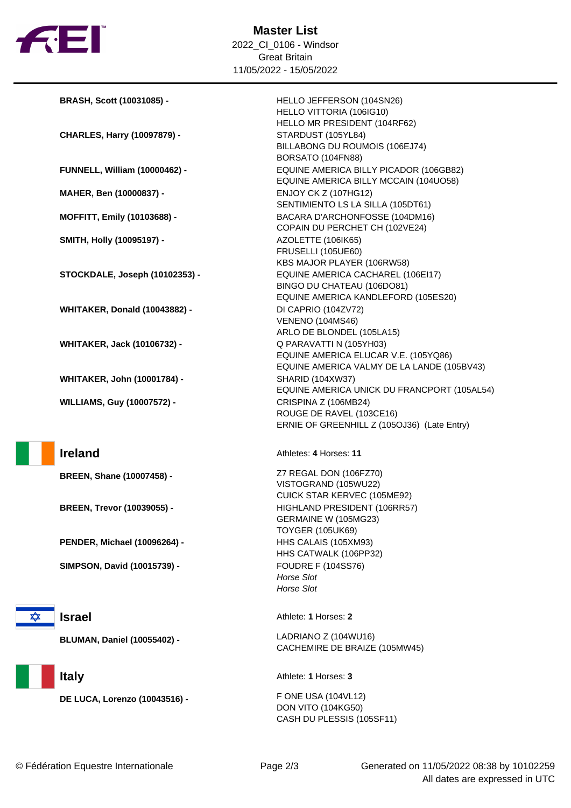

| BRASH, Scott (10031085) -            | HELLO JEFFERSON (104SN26)                   |
|--------------------------------------|---------------------------------------------|
|                                      | HELLO VITTORIA (106IG10)                    |
|                                      | HELLO MR PRESIDENT (104RF62)                |
| <b>CHARLES, Harry (10097879) -</b>   | STARDUST (105YL84)                          |
|                                      | BILLABONG DU ROUMOIS (106EJ74)              |
|                                      | BORSATO (104FN88)                           |
| <b>FUNNELL, William (10000462) -</b> | EQUINE AMERICA BILLY PICADOR (106GB82)      |
|                                      | EQUINE AMERICA BILLY MCCAIN (104UO58)       |
| MAHER, Ben (10000837) -              | <b>ENJOY CK Z (107HG12)</b>                 |
|                                      | SENTIMIENTO LS LA SILLA (105DT61)           |
| <b>MOFFITT, Emily (10103688) -</b>   | BACARA D'ARCHONFOSSE (104DM16)              |
|                                      | COPAIN DU PERCHET CH (102VE24)              |
| <b>SMITH, Holly (10095197) -</b>     | AZOLETTE (106IK65)                          |
|                                      | <b>FRUSELLI (105UE60)</b>                   |
|                                      | KBS MAJOR PLAYER (106RW58)                  |
| STOCKDALE, Joseph (10102353) -       | EQUINE AMERICA CACHAREL (106EI17)           |
|                                      | BINGO DU CHATEAU (106DO81)                  |
|                                      | EQUINE AMERICA KANDLEFORD (105ES20)         |
| <b>WHITAKER, Donald (10043882) -</b> | DI CAPRIO (104ZV72)                         |
|                                      | <b>VENENO (104MS46)</b>                     |
|                                      | ARLO DE BLONDEL (105LA15)                   |
| <b>WHITAKER, Jack (10106732) -</b>   | Q PARAVATTI N (105YH03)                     |
|                                      | EQUINE AMERICA ELUCAR V.E. (105YQ86)        |
|                                      | EQUINE AMERICA VALMY DE LA LANDE (105BV43)  |
| <b>WHITAKER, John (10001784) -</b>   | <b>SHARID (104XW37)</b>                     |
|                                      | EQUINE AMERICA UNICK DU FRANCPORT (105AL54) |
| <b>WILLIAMS, Guy (10007572) -</b>    | CRISPINA Z (106MB24)                        |
|                                      | ROUGE DE RAVEL (103CE16)                    |
|                                      | ERNIE OF GREENHILL Z (105OJ36) (Late Entry) |
|                                      |                                             |
| <b>Ireland</b>                       | Athletes: 4 Horses: 11                      |

**BREEN, Shane (10007458) -** Z7 REGAL DON (106FZ70)

**BREEN, Trevor (10039055) -** HIGHLAND PRESIDENT (106RR57)

**PENDER, Michael (10096264) -** HHS CALAIS (105XM93)

**SIMPSON, David (10015739) -** FOUDRE F (104SS76)

**x** 

**Israel** Athlete: **1** Horses: **2** 

**DE LUCA, Lorenzo (10043516) -** F ONE USA (104VL12)

Horse Slot Horse Slot

VISTOGRAND (105WU22)

GERMAINE W (105MG23) TOYGER (105UK69)

HHS CATWALK (106PP32)

CUICK STAR KERVEC (105ME92)

**BLUMAN, Daniel (10055402) -** LADRIANO Z (104WU16) CACHEMIRE DE BRAIZE (105MW45)

**Italy** Athlete: **1** Horses: **3** 

DON VITO (104KG50) CASH DU PLESSIS (105SF11)